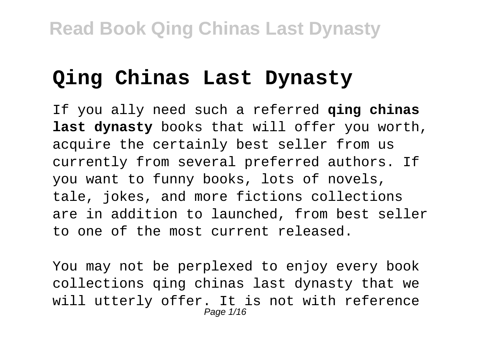## **Qing Chinas Last Dynasty**

If you ally need such a referred **qing chinas last dynasty** books that will offer you worth, acquire the certainly best seller from us currently from several preferred authors. If you want to funny books, lots of novels, tale, jokes, and more fictions collections are in addition to launched, from best seller to one of the most current released.

You may not be perplexed to enjoy every book collections qing chinas last dynasty that we will utterly offer. It is not with reference Page 1/16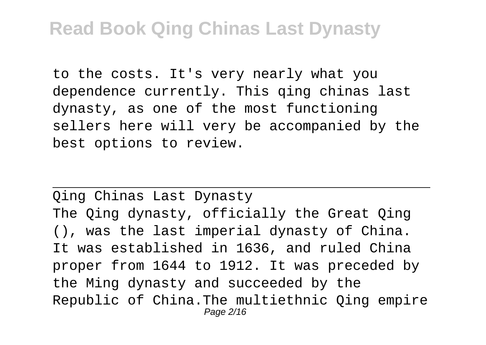to the costs. It's very nearly what you dependence currently. This qing chinas last dynasty, as one of the most functioning sellers here will very be accompanied by the best options to review.

Qing Chinas Last Dynasty The Oing dynasty, officially the Great Oing (), was the last imperial dynasty of China. It was established in 1636, and ruled China proper from 1644 to 1912. It was preceded by the Ming dynasty and succeeded by the Republic of China.The multiethnic Qing empire Page 2/16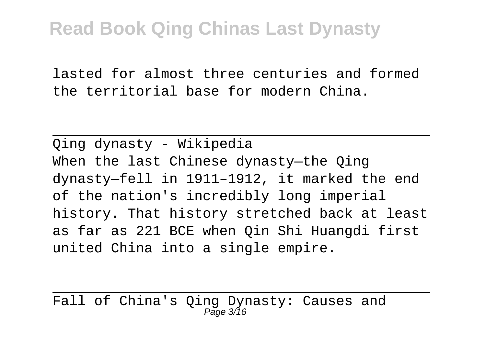lasted for almost three centuries and formed the territorial base for modern China.

Qing dynasty - Wikipedia When the last Chinese dynasty-the Oing dynasty—fell in 1911–1912, it marked the end of the nation's incredibly long imperial history. That history stretched back at least as far as 221 BCE when Qin Shi Huangdi first united China into a single empire.

Fall of China's Qing Dynasty: Causes and  $P$ age  $3/16$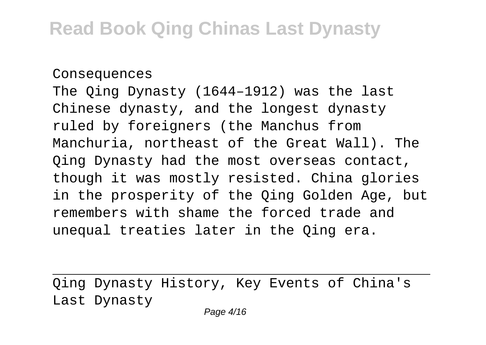#### Consequences

The Qing Dynasty (1644–1912) was the last Chinese dynasty, and the longest dynasty ruled by foreigners (the Manchus from Manchuria, northeast of the Great Wall). The Qing Dynasty had the most overseas contact, though it was mostly resisted. China glories in the prosperity of the Qing Golden Age, but remembers with shame the forced trade and unequal treaties later in the Qing era.

Qing Dynasty History, Key Events of China's Last Dynasty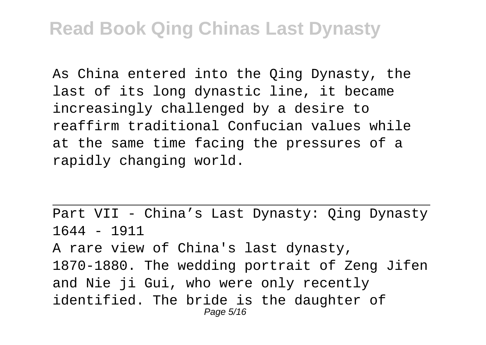As China entered into the Qing Dynasty, the last of its long dynastic line, it became increasingly challenged by a desire to reaffirm traditional Confucian values while at the same time facing the pressures of a rapidly changing world.

Part VII - China's Last Dynasty: Qing Dynasty 1644 - 1911 A rare view of China's last dynasty, 1870-1880. The wedding portrait of Zeng Jifen and Nie ji Gui, who were only recently identified. The bride is the daughter of Page 5/16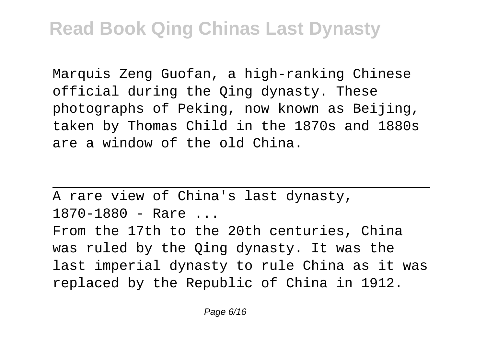Marquis Zeng Guofan, a high-ranking Chinese official during the Qing dynasty. These photographs of Peking, now known as Beijing, taken by Thomas Child in the 1870s and 1880s are a window of the old China.

A rare view of China's last dynasty, 1870-1880 - Rare ... From the 17th to the 20th centuries, China was ruled by the Qing dynasty. It was the last imperial dynasty to rule China as it was replaced by the Republic of China in 1912.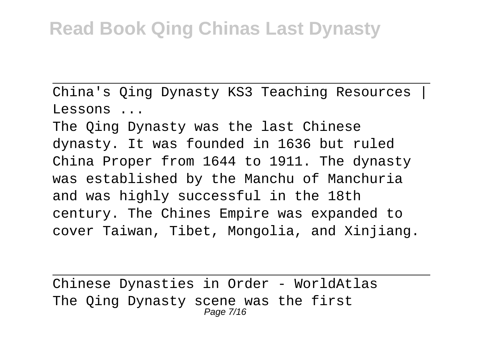China's Oing Dynasty KS3 Teaching Resources | Lessons ...

The Qing Dynasty was the last Chinese dynasty. It was founded in 1636 but ruled China Proper from 1644 to 1911. The dynasty was established by the Manchu of Manchuria and was highly successful in the 18th century. The Chines Empire was expanded to cover Taiwan, Tibet, Mongolia, and Xinjiang.

Chinese Dynasties in Order - WorldAtlas The Qing Dynasty scene was the first Page 7/16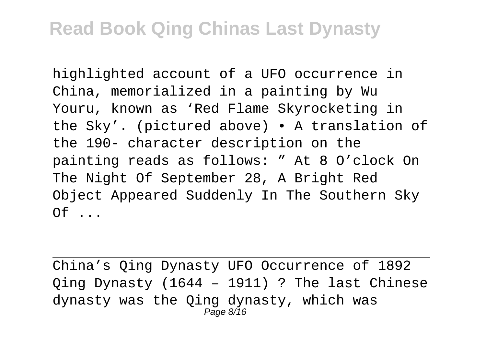highlighted account of a UFO occurrence in China, memorialized in a painting by Wu Youru, known as 'Red Flame Skyrocketing in the Sky'. (pictured above) • A translation of the 190- character description on the painting reads as follows: " At 8 O'clock On The Night Of September 28, A Bright Red Object Appeared Suddenly In The Southern Sky  $Of$   $\ldots$ 

China's Qing Dynasty UFO Occurrence of 1892 Qing Dynasty (1644 – 1911) ? The last Chinese dynasty was the Qing dynasty, which was Page 8/16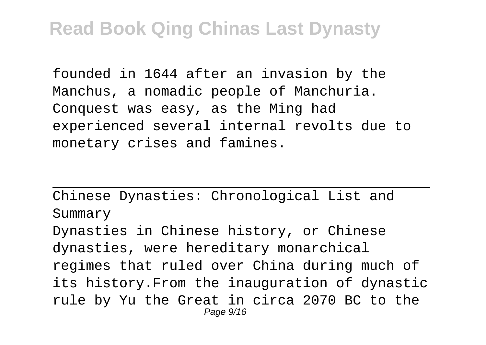founded in 1644 after an invasion by the Manchus, a nomadic people of Manchuria. Conquest was easy, as the Ming had experienced several internal revolts due to monetary crises and famines.

Chinese Dynasties: Chronological List and Summary

Dynasties in Chinese history, or Chinese dynasties, were hereditary monarchical regimes that ruled over China during much of its history.From the inauguration of dynastic rule by Yu the Great in circa 2070 BC to the Page 9/16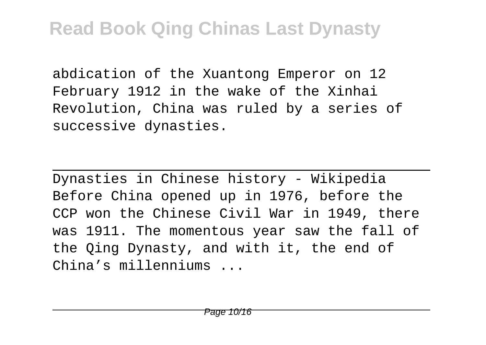abdication of the Xuantong Emperor on 12 February 1912 in the wake of the Xinhai Revolution, China was ruled by a series of successive dynasties.

Dynasties in Chinese history - Wikipedia Before China opened up in 1976, before the CCP won the Chinese Civil War in 1949, there was 1911. The momentous year saw the fall of the Qing Dynasty, and with it, the end of China's millenniums ...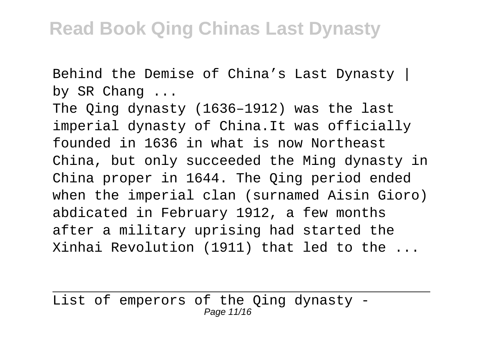Behind the Demise of China's Last Dynasty | by SR Chang ...

The Qing dynasty (1636–1912) was the last imperial dynasty of China.It was officially founded in 1636 in what is now Northeast China, but only succeeded the Ming dynasty in China proper in 1644. The Qing period ended when the imperial clan (surnamed Aisin Gioro) abdicated in February 1912, a few months after a military uprising had started the Xinhai Revolution (1911) that led to the ...

List of emperors of the Qing dynasty - Page 11/16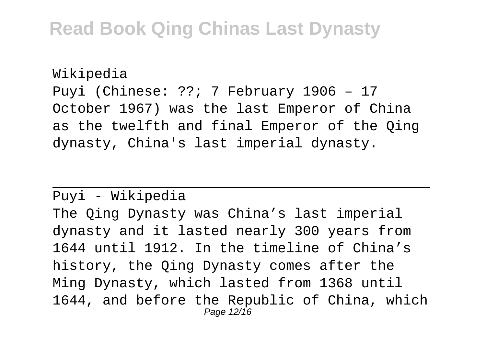Wikipedia Puyi (Chinese: ??; 7 February 1906 – 17 October 1967) was the last Emperor of China as the twelfth and final Emperor of the Qing dynasty, China's last imperial dynasty.

Puyi - Wikipedia

The Qing Dynasty was China's last imperial dynasty and it lasted nearly 300 years from 1644 until 1912. In the timeline of China's history, the Qing Dynasty comes after the Ming Dynasty, which lasted from 1368 until 1644, and before the Republic of China, which Page 12/16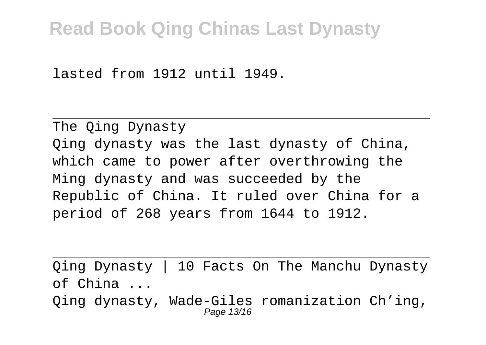lasted from 1912 until 1949.

The Qing Dynasty Qing dynasty was the last dynasty of China, which came to power after overthrowing the Ming dynasty and was succeeded by the Republic of China. It ruled over China for a period of 268 years from 1644 to 1912.

Qing Dynasty | 10 Facts On The Manchu Dynasty of China ... Qing dynasty, Wade-Giles romanization Ch'ing,

Page 13/16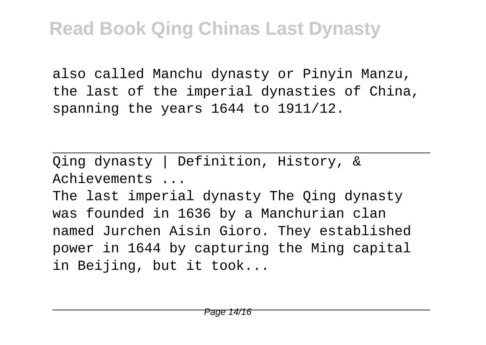also called Manchu dynasty or Pinyin Manzu, the last of the imperial dynasties of China, spanning the years 1644 to 1911/12.

Qing dynasty | Definition, History, & Achievements ...

The last imperial dynasty The Qing dynasty was founded in 1636 by a Manchurian clan named Jurchen Aisin Gioro. They established power in 1644 by capturing the Ming capital in Beijing, but it took...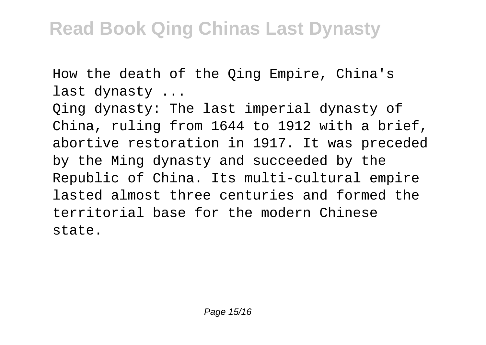How the death of the Qing Empire, China's last dynasty ...

Qing dynasty: The last imperial dynasty of China, ruling from 1644 to 1912 with a brief, abortive restoration in 1917. It was preceded by the Ming dynasty and succeeded by the Republic of China. Its multi-cultural empire lasted almost three centuries and formed the territorial base for the modern Chinese state.